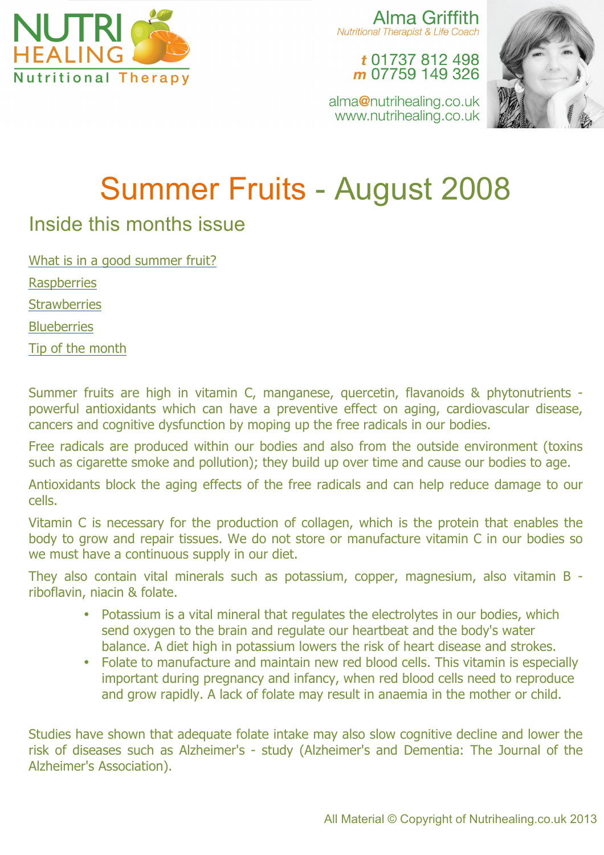

Alma Griffith Nutritional Therapist & Life Coach

t 01737 812 498 m 07759 149 326

alma@nutrihealing.co.uk www.nutrihealing.co.uk



# Summer Fruits - August 2008

# Inside this months issue

What is in a good summer fruit? **Raspberries Strawberries Blueberries** Tip of the month

Summer fruits are high in vitamin C, manganese, quercetin, flavanoids & phytonutrients powerful antioxidants which can have a preventive effect on aging, cardiovascular disease, cancers and cognitive dysfunction by moping up the free radicals in our bodies.

Free radicals are produced within our bodies and also from the outside environment (toxins such as cigarette smoke and pollution); they build up over time and cause our bodies to age.

Antioxidants block the aging effects of the free radicals and can help reduce damage to our cells.

Vitamin C is necessary for the production of collagen, which is the protein that enables the body to grow and repair tissues. We do not store or manufacture vitamin C in our bodies so we must have a continuous supply in our diet.

They also contain vital minerals such as potassium, copper, magnesium, also vitamin B riboflavin, niacin & folate.

- Potassium is a vital mineral that regulates the electrolytes in our bodies, which send oxygen to the brain and regulate our heartbeat and the body's water balance. A diet high in potassium lowers the risk of heart disease and strokes.
- Folate to manufacture and maintain new red blood cells. This vitamin is especially important during pregnancy and infancy, when red blood cells need to reproduce and grow rapidly. A lack of folate may result in anaemia in the mother or child.

Studies have shown that adequate folate intake may also slow cognitive decline and lower the risk of diseases such as Alzheimer's - study (Alzheimer's and Dementia: The Journal of the Alzheimer's Association).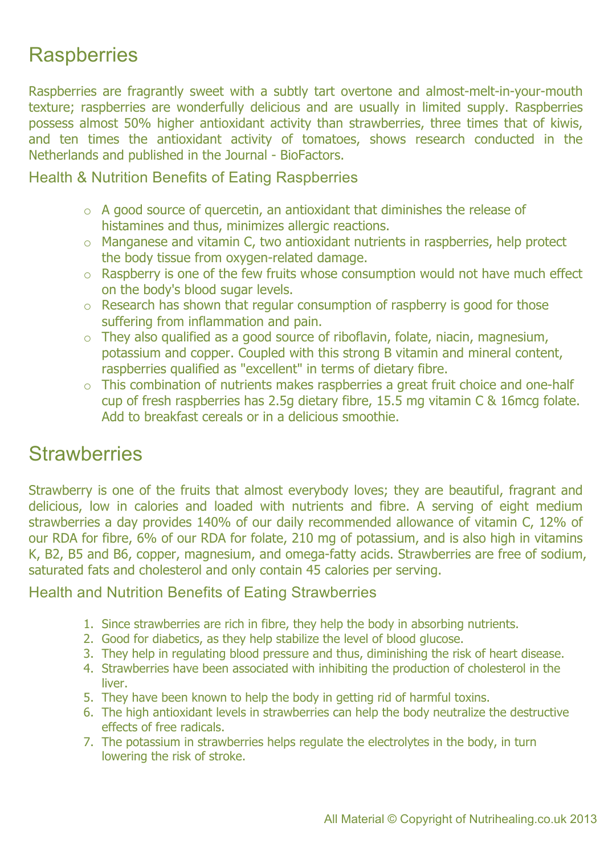# **Raspberries**

Raspberries are fragrantly sweet with a subtly tart overtone and almost-melt-in-your-mouth texture; raspberries are wonderfully delicious and are usually in limited supply. Raspberries possess almost 50% higher antioxidant activity than strawberries, three times that of kiwis, and ten times the antioxidant activity of tomatoes, shows research conducted in the Netherlands and published in the Journal - BioFactors.

### Health & Nutrition Benefits of Eating Raspberries

- $\circ$  A good source of quercetin, an antioxidant that diminishes the release of histamines and thus, minimizes allergic reactions.
- o Manganese and vitamin C, two antioxidant nutrients in raspberries, help protect the body tissue from oxygen-related damage.
- o Raspberry is one of the few fruits whose consumption would not have much effect on the body's blood sugar levels.
- o Research has shown that regular consumption of raspberry is good for those suffering from inflammation and pain.
- $\circ$  They also qualified as a good source of riboflavin, folate, niacin, magnesium, potassium and copper. Coupled with this strong B vitamin and mineral content, raspberries qualified as "excellent" in terms of dietary fibre.
- o This combination of nutrients makes raspberries a great fruit choice and one-half cup of fresh raspberries has 2.5g dietary fibre, 15.5 mg vitamin C & 16mcg folate. Add to breakfast cereals or in a delicious smoothie.

## **Strawberries**

Strawberry is one of the fruits that almost everybody loves; they are beautiful, fragrant and delicious, low in calories and loaded with nutrients and fibre. A serving of eight medium strawberries a day provides 140% of our daily recommended allowance of vitamin C, 12% of our RDA for fibre, 6% of our RDA for folate, 210 mg of potassium, and is also high in vitamins K, B2, B5 and B6, copper, magnesium, and omega-fatty acids. Strawberries are free of sodium, saturated fats and cholesterol and only contain 45 calories per serving.

#### Health and Nutrition Benefits of Eating Strawberries

- 1. Since strawberries are rich in fibre, they help the body in absorbing nutrients.
- 2. Good for diabetics, as they help stabilize the level of blood glucose.
- 3. They help in regulating blood pressure and thus, diminishing the risk of heart disease.
- 4. Strawberries have been associated with inhibiting the production of cholesterol in the liver.
- 5. They have been known to help the body in getting rid of harmful toxins.
- 6. The high antioxidant levels in strawberries can help the body neutralize the destructive effects of free radicals.
- 7. The potassium in strawberries helps regulate the electrolytes in the body, in turn lowering the risk of stroke.